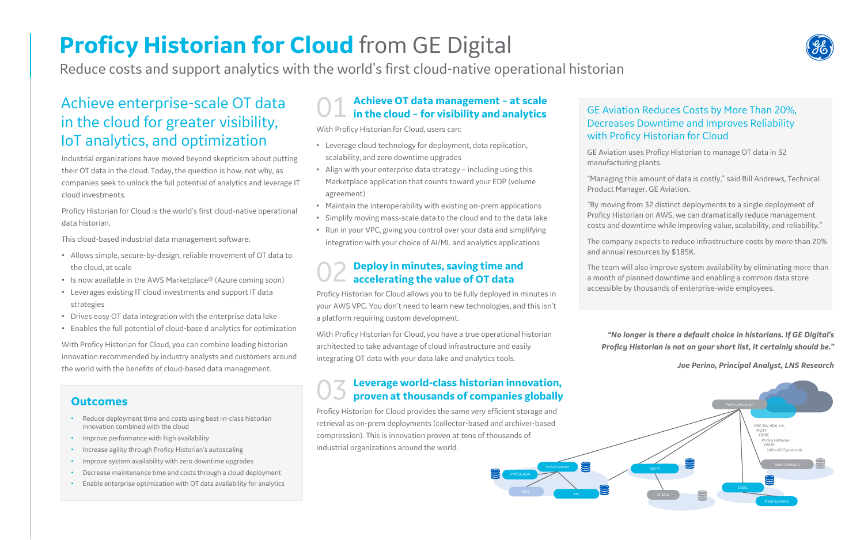

## **Proficy Historian for Cloud** from GE Digital

Reduce costs and support analytics with the world's first cloud-native operational historian

## Achieve enterprise-scale OT data in the cloud for greater visibility, IoT analytics, and optimization

Industrial organizations have moved beyond skepticism about putting their OT data in the cloud. Today, the question is how, not why, as companies seek to unlock the full potential of analytics and leverage IT cloud investments.

Proficy Historian for Cloud is the world's first cloud-native operational data historian.

This cloud-based industrial data management software:

- Allows simple, secure-by-design, reliable movement of OT data to the cloud, at scale
- Is now available in the AWS Marketplace® (Azure coming soon)
- Leverages existing IT cloud investments and support IT data strategies
- Drives easy OT data integration with the enterprise data lake
- Enables the full potential of cloud-base d analytics for optimization

With Proficy Historian for Cloud, you can combine leading historian innovation recommended by industry analysts and customers around the world with the benefits of cloud-based data management.

#### **Outcomes**

- Reduce deployment time and costs using best-in-class historian innovation combined with the cloud
- Improve performance with high availability
- Increase agility through Proficy Historian's autoscaling
- Improve system availability with zero downtime upgrades
- Decrease maintenance time and costs through a cloud deployment
- Enable enterprise optimization with OT data availability for analytics

GE Aviation uses Proficy Historian to manage OT data in 32 manufacturing plants.

"Managing this amount of data is costly," said Bill Andrews, Technical Product Manager, GE Aviation.

"By moving from 32 distinct deployments to a single deployment of Proficy Historian on AWS, we can dramatically reduce management costs and downtime while improving value, scalability, and reliability."

The company expects to reduce infrastructure costs by more than 20% and annual resources by \$185K.

The team will also improve system availability by eliminating more than a month of planned downtime and enabling a common data store accessible by thousands of enterprise-wide employees.



### GE Aviation Reduces Costs by More Than 20%, Decreases Downtime and Improves Reliability with Proficy Historian for Cloud

## 01 **Achieve OT data management – at scale in the cloud – for visibility and analytics**

With Proficy Historian for Cloud, users can:

- Leverage cloud technology for deployment, data replication, scalability, and zero downtime upgrades
- Align with your enterprise data strategy including using this Marketplace application that counts toward your EDP (volume agreement)
- Maintain the interoperability with existing on-prem applications
- Simplify moving mass-scale data to the cloud and to the data lake
- Run in your VPC, giving you control over your data and simplifying integration with your choice of AI/ML and analytics applications

## 02 **Deploy in minutes, saving time and accelerating the value of OT data**

Proficy Historian for Cloud allows you to be fully deployed in minutes in your AWS VPC. You don't need to learn new technologies, and this isn't a platform requiring custom development.

With Proficy Historian for Cloud, you have a true operational historian architected to take advantage of cloud infrastructure and easily integrating OT data with your data lake and analytics tools.

## 03 **Leverage world-class historian innovation, proven at thousands of companies globally**

Proficy Historian for Cloud provides the same very efficient storage and retrieval as on-prem deployments (collector-based and archiver-based compression). This is innovation proven at tens of thousands of industrial organizations around the world.

*"No longer is there a default choice in historians. If GE Digital's Proficy Historian is not on your short list, it certainly should be."*

*Joe Perino, Principal Analyst, LNS Research*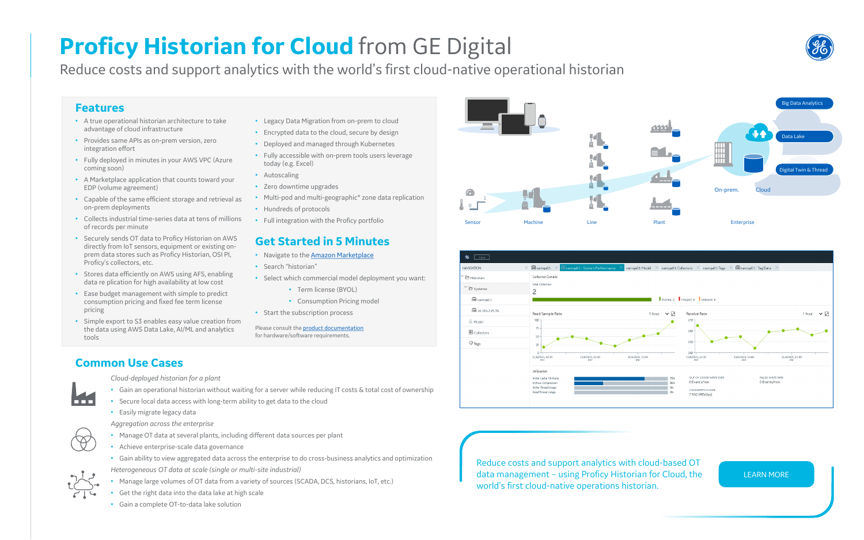# **Proficy Historian for Cloud** from GE Digital

Reduce costs and support analytics with the world's first cloud-native operational historian

### **Features**

- A true operational historian architecture to take advantage of cloud infrastructure
- Provides same APIs as on-prem version, zero integration effort
- Fully deployed in minutes in your AWS VPC (Azure coming soon)
- A Marketplace application that counts toward your EDP (volume agreement)
- Capable of the same efficient storage and retrieval as on-prem deployments
- Collects industrial time-series data at tens of millions of records per minute
- Securely sends OT data to Proficy Historian on AWS directly from IoT sensors, equipment or existing onprem data stores such as Proficy Historian, OSI PI, Proficy's collectors, etc.
- Stores data efficiently on AWS using AFS, enabling data re plication for high availability at low cost
- Ease budget management with simple to predict consumption pricing and fixed fee term license pricing
- Simple export to S3 enables easy value creation from the data using AWS Data Lake, AI/ML and analytics tools

Please consult the **product documentation** for hardware/software requirements.

- Legacy Data Migration from on-prem to cloud
- Encrypted data to the cloud, secure by design
- Deployed and managed through Kubernetes
- Fully accessible with on-prem tools users leverage today (e.g. Excel)
- Autoscaling
- Zero downtime upgrades
- Multi-pod and multi-geographic\* zone data replication
- Hundreds of protocols
- Full integration with the Proficy portfolio

### **Get Started in 5 Minutes**

- Navigate to the [Amazon Marketplace](https://aws.amazon.com/marketplace)
- Search "historian"
- Select which commercial model deployment you want:
	- Term license (BYOL)
	- Consumption Pricing model
- Start the subscription process

Reduce costs and support analytics with cloud-based OT data management – using Proficy Historian for Cloud, the world's first cloud-native operations historian.





[LEARN MORE](https://www.ge.com/digital/applications/proficy-historian-cloud)

### **Common Use Cases**



*Cloud-deployed historian for a plant*

- Gain an operational historian without waiting for a server while reducing IT costs & total cost of ownership
- Secure local data access with long-term ability to get data to the cloud
- Easily migrate legacy data

*Aggregation across the enterprise*

- Manage OT data at several plants, including different data sources per plant
- Achieve enterprise-scale data governance
- Gain ability to view aggregated data across the enterprise to do cross-business analytics and optimization *Heterogeneous OT data at scale (single or multi-site industrial)*
- Manage large volumes of OT data from a variety of sources (SCADA, DCS, historians, IoT, etc.)
- Get the right data into the data lake at high scale
- Gain a complete OT-to-data lake solution